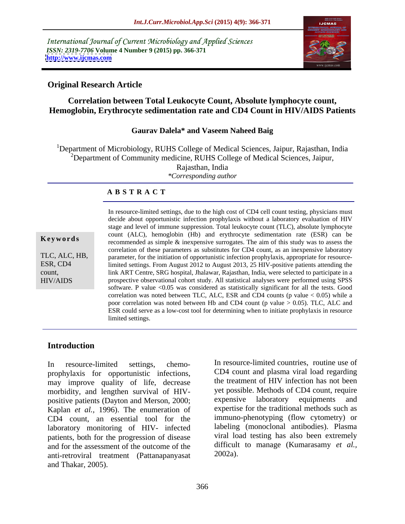International Journal of Current Microbiology and Applied Sciences *ISSN: 2319-7706* **Volume 4 Number 9 (2015) pp. 366-371 <http://www.ijcmas.com>**



### **Original Research Article**

## **Correlation between Total Leukocyte Count, Absolute lymphocyte count, Hemoglobin, Erythrocyte sedimentation rate and CD4 Count in HIV/AIDS Patients**

### **Gaurav Dalela\* and Vaseem Naheed Baig**

<sup>1</sup>Department of Microbiology, RUHS College of Medical Sciences, Jaipur, Rajasthan, India  $2D$ epartment of Community medicine, RUHS College of Medical Sciences, Jaipur, Rajasthan, India *\*Corresponding author*

### **A B S T R A C T**

HIV/AIDS

In resource-limited settings, due to the high cost of CD4 cell count testing, physicians must decide about opportunistic infection prophylaxis without a laboratory evaluation of HIV stage and level of immune suppression. Total leukocyte count (TLC), absolute lymphocyte count (ALC), hemoglobin (Hb) and erythrocyte sedimentation rate (ESR) can be **Keywords** recommended as simple & inexpensive surrogates. The aim of this study was to assess the correlation of these parameters as substitutes for CD4 count, as an inexpensive laboratory parameter, for the initiation of opportunistic infection prophylaxis, appropriate for resource-TLC, ALC, HB, ESR, CD4 limited settings. From August 2012 to August 2013, 25 HIV-positive patients attending the link ART Centre, SRG hospital, Jhalawar, Rajasthan, India, were selected to participate in a count, prospective observational cohort study. All statistical analyses were performed using SPSS software. P value <0.05 was considered as statistically significant for all the tests. Good correlation was noted between TLC, ALC, ESR and CD4 counts (p value  $< 0.05$ ) while a poor correlation was noted between Hb and CD4 count (p value  $> 0.05$ ). TLC, ALC and ESR could serve as a low-cost tool for determining when to initiate prophylaxis in resource limited settings.

## **Introduction**

prophylaxis for opportunistic infections, may improve quality of life, decrease morbidity, and lengthen survival of HIV positive patients (Dayton and Merson, 2000; expensive laboratory equipments and Kaplan *et al.,* 1996). The enumeration of CD4 count, an essential tool for the laboratory monitoring of HIV- infected patients, both for the progression of disease and for the assessment of the outcome of the difficult<br>anti-retroviral treatment (Pattanananyasat 2002a). anti-retroviral treatment (Pattanapanyasat and Thakar, 2005).

In resource-limited settings, chemo- In resource-limited countries, routine use of CD4 count and plasma viral load regarding the treatment of HIV infection has not been yet possible. Methods of CD4 count, require expensive laboratory equipments and expertise for the traditional methods such as immuno-phenotyping (flow cytometry) or labeling (monoclonal antibodies). Plasma viral load testing has also been extremely difficult to manage (Kumarasamy *et al.,* 2002a).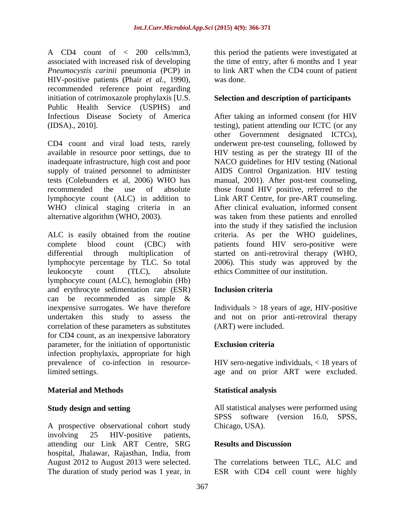A CD4 count of  $\langle 200 \rangle$  cells/mm3, this period the patients were investigated at associated with increased risk of developing the time of entry, after 6 months and 1 year *Pneumocystis carinii* pneumonia (PCP) in HIV-positive patients (Phair *et al.,* 1990), recommended reference point regarding initiation of cotrimoxazole prophylaxis [U.S. **Selection and description of participants** Public Health Service (USPHS) and

CD4 count and viral load tests, rarely underwent pre-test counseling, followed by available in resource poor settings, due to HIV testing as per the strategy III of the inadequate infrastructure, high cost and poor NACO guidelines for HIV testing (National supply of trained personnel to administer AIDS Control Organization. HIV testing tests (Colebunders et al, 2006) WHO has manual, 2001).After post-test counseling, recommended the use of absolute those found HIV positive, referred to the lymphocyte count (ALC) in addition to Link ART Centre, for pre-ART counseling. WHO clinical staging criteria in an After clinical evaluation, informed consent alternative algorithm (WHO, 2003). was taken from these patients and enrolled

ALC is easily obtained from the routine criteria. As per the WHO guidelines, complete blood count (CBC) with patients found HIV sero-positive were differential through multiplication of started on anti-retroviral therapy (WHO, lymphocyte percentage by TLC. So total 2006). This study was approved by the leukoocyte count (TLC), absolute ethics Committee of our institution. lymphocyte count (ALC), hemoglobin (Hb) and erythrocyte sedimentation rate (ESR) can be recommended as simple & inexpensive surrogates. We have therefore Individuals > 18 years of age, HIV-positive undertaken this study to assess the and not on prior anti-retroviral therapy correlation of these parameters as substitutes for CD4 count, as an inexpensive laboratory parameter, for the initiation of opportunistic infection prophylaxis, appropriate for high prevalence of co-infection in resource-HIV sero-negative individuals, < 18 years of limited settings. age and on prior ART were excluded.

# **Material and Methods**

A prospective observational cohort study involving 25 HIV-positive patients, attending our Link ART Centre, SRG hospital, Jhalawar, Rajasthan, India, from August 2012 to August 2013 were selected. The correlations between TLC, ALC and The duration of study period was 1 year, in ESR with CD4 cell count were highly

to link ART when the CD4 count of patient was done.

Infectious Disease Society of America After taking an informed consent (for HIV (IDSA)., 2010]. testing), patient attending our ICTC (or any other Government designated ICTCs), into the study if they satisfied the inclusion started on anti-retroviral therapy (WHO, 2006). This study was approved by the

## **Inclusion criteria**

(ART) were included.

# **Exclusion criteria**

### **Statistical analysis**

**Study design and setting** and **All statistical analyses were performed using** SPSS software (version 16.0, SPSS, Chicago, USA).

### **Results and Discussion**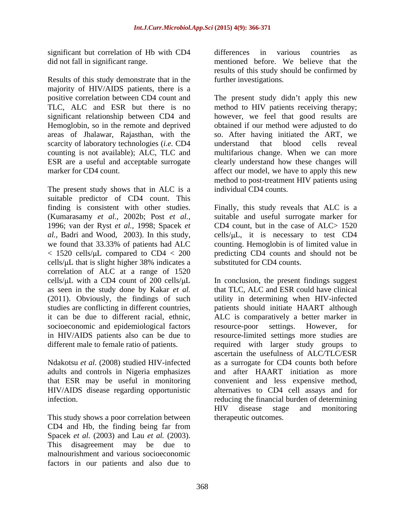significant but correlation of Hb with CD4 differences in various countries as

Results of this study demonstrate that in the majority of HIV/AIDS patients, there is a areas of Jhalawar, Rajasthan, with the scarcity of laboratory technologies (*i.e.* CD4 understand that blood cells reveal

The present study shows that in ALC is a suitable predictor of CD4 count. This (Kumarasamy *et al.,* 2002b; Post *et al.,* 1996; van der Ryst *et al.,* 1998; Spacek *et*  we found that 33.33% of patients had ALC  $< 1520$  cells/ $\mu$ L compared to CD4  $< 200$ cells/ $\mu$ L that is slight higher 38% indicates a correlation of ALC at a range of  $1520$ (2011). Obviously, the findings of such socioeconomic and epidemiological factors resource-poor settings. However, for

This study shows a poor correlation between CD4 and Hb, the finding being far from Spacek *et al.* (2003) and Lau *et al.* (2003). This disagreement may be due to malnourishment and various socioeconomic factors in our patients and also due to

did not fall in significant range. mentioned before. We believe that the differences in various countries as results of this study should be confirmed by further investigations.

positive correlation between CD4 count and The present study didn't apply this new TLC, ALC and ESR but there is no method to HIV patients receiving therapy; significant relationship between CD4 and however, we feel that good results are Hemoglobin, so in the remote and deprived obtained if our method were adjusted to do counting is not available); ALC, TLC and multifarious change. When we can more ESR are a useful and acceptable surrogate clearly understand how these changes will marker for CD4 count. The affect our model, we have to apply this new so. After having initiated the ART, we understand that blood cells reveal method to post-treatment HIV patients using individual CD4 counts.

finding is consistent with other studies. Finally, this study reveals that ALC is a al., Badri and Wood, 2003). In this study, cells/ $\mu$ L, it is necessary to test CD4 suitable and useful surrogate marker for CD4 count, but in the case of  $ALC > 1520$ counting. Hemoglobin is of limited value in predicting CD4 counts and should not be substituted for CD4 counts.

cells/ $\mu$ L with a CD4 count of 200 cells/ $\mu$ L In conclusion, the present findings suggest as seen in the study done by Kakar *et al.* that TLC, ALC and ESR could have clinical studies are conflicting in different countries, patients should initiate HAART although it can be due to different racial, ethnic, ALC is comparatively a better marker in in HIV/AIDS patients also can be due to resource-limited settings more studies are different male to female ratio of patients. The required with larger study groups to Ndakotsu *et al.* (2008) studied HIV-infected as a surrogate for CD4 counts both before adults and controls in Nigeria emphasizes and after HAART initiation as more that ESR may be useful in monitoring convenient and less expensive method, HIV/AIDS disease regarding opportunistic alternatives to CD4 cell assays and for infection. reducing the financial burden of determining utility in determining when HIV-infected resource-poor settings. However, for ascertain the usefulness of ALC/TLC/ESR HIV disease stage and monitoring therapeutic outcomes.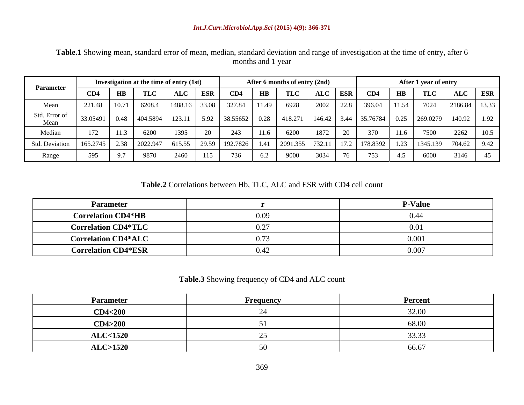|                                                                         |                                                            |                    | Investigation at the time of entry (1st) |     |                              |     |              | After 6 months of entry (2nd) |      |           |                                                                                                        |                                       | After 1 year of entry |               |  |
|-------------------------------------------------------------------------|------------------------------------------------------------|--------------------|------------------------------------------|-----|------------------------------|-----|--------------|-------------------------------|------|-----------|--------------------------------------------------------------------------------------------------------|---------------------------------------|-----------------------|---------------|--|
| Parameter                                                               | CD4                                                        | $H\rightarrow TLC$ |                                          | ALC | $\overline{\phantom{a}}$ ESR | CD4 | $H$ <b>B</b> | TLC                           |      | ALC ESR   | CD4                                                                                                    | $\mathbf{H}\mathbf{B}$                | TLC                   | ALC ESR       |  |
| Mean                                                                    | 221.48   10.71   6208.4   1488.16   33.08   327.84   11.49 |                    |                                          |     |                              |     |              | 6928                          |      | 2002 22.8 | 396.04   11.54                                                                                         |                                       |                       | 2186.84 13.33 |  |
| Std. Error of<br>Mean                                                   | 33.05491 0.48 404.5894                                     |                    |                                          |     |                              |     |              |                               |      |           | 123.11   5.92   38.55652   0.28   418.271   146.42   3.44   35.76784   0.25   269.0279   140.92   1.92 |                                       |                       |               |  |
| Median                                                                  |                                                            |                    |                                          |     |                              |     |              | 6200                          | 1872 |           | 370                                                                                                    | $\vert$ 11.6                          | 7500 2262             |               |  |
| Std. Deviation   165.2745   2.38   2022.947   615.55   29.59   192.7826 |                                                            |                    |                                          |     |                              |     |              |                               |      |           | 1   2091.355   732.11   17.2   178.8392                                                                | $?$   1.23   1345.139   704.62   9.42 |                       |               |  |
| Range                                                                   |                                                            |                    | 9870                                     |     |                              |     |              |                               |      |           |                                                                                                        |                                       | 6000                  | 3146          |  |

**Table.1** Showing mean, standard error of mean, median, standard deviation and range of investigation at the time of entry, after 6 months and 1 year

**Table.2** Correlations between Hb, TLC, ALC and ESR with CD4 cell count

| <b>Parameter</b>           | <b>P-Value</b> |
|----------------------------|----------------|
| <b>Correlation CD4*HB</b>  |                |
| <b>Correlation CD4*TLC</b> | U.UI           |
| <b>Correlation CD4*ALC</b> | 0.001          |
| <b>Correlation CD4*ESR</b> | 0.007          |

### **Table.3** Showing frequency of CD4 and ALC count

| <b>Parameter</b>   | Frequency | Percent         |
|--------------------|-----------|-----------------|
| <b>CD4&lt;200</b>  |           | 32.00<br>, __ ب |
| CD4>200            |           | 68.00           |
| <b>ALC&lt;1520</b> |           | $\Omega$        |
| <b>ALC&gt;1520</b> |           | 66.67           |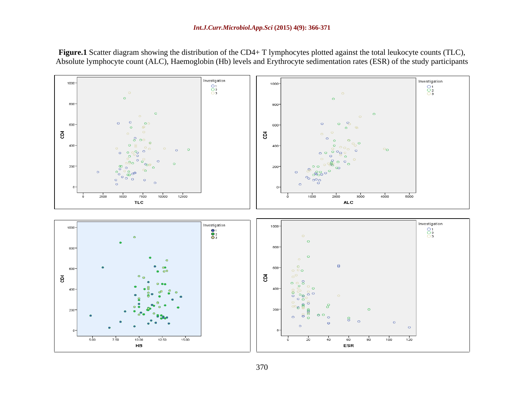